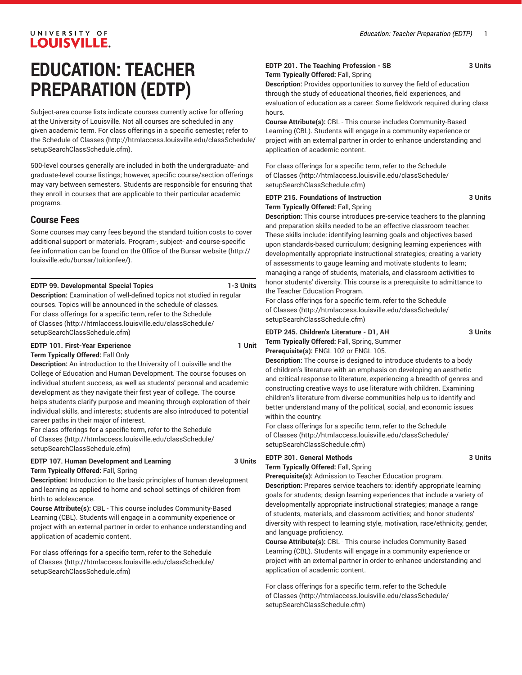# LOUISVILLE. **EDUCATION: TEACHER PREPARATION (EDTP)**

UNIVERSITY OF

Subject-area course lists indicate courses currently active for offering at the University of Louisville. Not all courses are scheduled in any given academic term. For class offerings in a specific semester, refer to the [Schedule of Classes](http://htmlaccess.louisville.edu/classSchedule/setupSearchClassSchedule.cfm) ([http://htmlaccess.louisville.edu/classSchedule/](http://htmlaccess.louisville.edu/classSchedule/setupSearchClassSchedule.cfm) [setupSearchClassSchedule.cfm\)](http://htmlaccess.louisville.edu/classSchedule/setupSearchClassSchedule.cfm).

500-level courses generally are included in both the undergraduate- and graduate-level course listings; however, specific course/section offerings may vary between semesters. Students are responsible for ensuring that they enroll in courses that are applicable to their particular academic programs.

# **Course Fees**

Some courses may carry fees beyond the standard tuition costs to cover additional support or materials. Program-, subject- and course-specific fee information can be found on the [Office of the Bursar website](http://louisville.edu/bursar/tuitionfee/) ([http://](http://louisville.edu/bursar/tuitionfee/) [louisville.edu/bursar/tuitionfee/](http://louisville.edu/bursar/tuitionfee/)).

## **EDTP 99. Developmental Special Topics 1-3 Units**

**Description:** Examination of well-defined topics not studied in regular courses. Topics will be announced in the schedule of classes. For class offerings for a specific term, refer to the [Schedule](http://htmlaccess.louisville.edu/classSchedule/setupSearchClassSchedule.cfm) [of Classes \(http://htmlaccess.louisville.edu/classSchedule/](http://htmlaccess.louisville.edu/classSchedule/setupSearchClassSchedule.cfm) [setupSearchClassSchedule.cfm\)](http://htmlaccess.louisville.edu/classSchedule/setupSearchClassSchedule.cfm)

# **EDTP 101. First-Year Experience 1 Unit**

**Term Typically Offered:** Fall Only **Description:** An introduction to the University of Louisville and the College of Education and Human Development. The course focuses on individual student success, as well as students' personal and academic development as they navigate their first year of college. The course

helps students clarify purpose and meaning through exploration of their individual skills, and interests; students are also introduced to potential career paths in their major of interest.

For class offerings for a specific term, refer to the [Schedule](http://htmlaccess.louisville.edu/classSchedule/setupSearchClassSchedule.cfm) [of Classes \(http://htmlaccess.louisville.edu/classSchedule/](http://htmlaccess.louisville.edu/classSchedule/setupSearchClassSchedule.cfm) [setupSearchClassSchedule.cfm\)](http://htmlaccess.louisville.edu/classSchedule/setupSearchClassSchedule.cfm)

#### **EDTP 107. Human Development and Learning 3 Units Term Typically Offered:** Fall, Spring

**Description:** Introduction to the basic principles of human development and learning as applied to home and school settings of children from birth to adolescence.

**Course Attribute(s):** CBL - This course includes Community-Based Learning (CBL). Students will engage in a community experience or project with an external partner in order to enhance understanding and application of academic content.

For class offerings for a specific term, refer to the [Schedule](http://htmlaccess.louisville.edu/classSchedule/setupSearchClassSchedule.cfm) [of Classes \(http://htmlaccess.louisville.edu/classSchedule/](http://htmlaccess.louisville.edu/classSchedule/setupSearchClassSchedule.cfm) [setupSearchClassSchedule.cfm\)](http://htmlaccess.louisville.edu/classSchedule/setupSearchClassSchedule.cfm)

#### **EDTP 201. The Teaching Profession - SB 3 Units Term Typically Offered:** Fall, Spring

**Description:** Provides opportunities to survey the field of education through the study of educational theories, field experiences, and evaluation of education as a career. Some fieldwork required during class hours.

**Course Attribute(s):** CBL - This course includes Community-Based Learning (CBL). Students will engage in a community experience or project with an external partner in order to enhance understanding and application of academic content.

For class offerings for a specific term, refer to the [Schedule](http://htmlaccess.louisville.edu/classSchedule/setupSearchClassSchedule.cfm) [of Classes](http://htmlaccess.louisville.edu/classSchedule/setupSearchClassSchedule.cfm) ([http://htmlaccess.louisville.edu/classSchedule/](http://htmlaccess.louisville.edu/classSchedule/setupSearchClassSchedule.cfm) [setupSearchClassSchedule.cfm\)](http://htmlaccess.louisville.edu/classSchedule/setupSearchClassSchedule.cfm)

#### **EDTP 215. Foundations of Instruction 3 Units Term Typically Offered:** Fall, Spring

**Description:** This course introduces pre-service teachers to the planning and preparation skills needed to be an effective classroom teacher. These skills include: identifying learning goals and objectives based upon standards-based curriculum; designing learning experiences with developmentally appropriate instructional strategies; creating a variety of assessments to gauge learning and motivate students to learn; managing a range of students, materials, and classroom activities to honor students' diversity. This course is a prerequisite to admittance to the Teacher Education Program.

For class offerings for a specific term, refer to the [Schedule](http://htmlaccess.louisville.edu/classSchedule/setupSearchClassSchedule.cfm) [of Classes](http://htmlaccess.louisville.edu/classSchedule/setupSearchClassSchedule.cfm) ([http://htmlaccess.louisville.edu/classSchedule/](http://htmlaccess.louisville.edu/classSchedule/setupSearchClassSchedule.cfm) [setupSearchClassSchedule.cfm\)](http://htmlaccess.louisville.edu/classSchedule/setupSearchClassSchedule.cfm)

**EDTP 245. Children's Literature - D1, AH 3 Units Term Typically Offered:** Fall, Spring, Summer

**Prerequisite(s):** ENGL 102 or ENGL 105.

**Description:** The course is designed to introduce students to a body of children's literature with an emphasis on developing an aesthetic and critical response to literature, experiencing a breadth of genres and constructing creative ways to use literature with children. Examining children's literature from diverse communities help us to identify and better understand many of the political, social, and economic issues within the country.

For class offerings for a specific term, refer to the [Schedule](http://htmlaccess.louisville.edu/classSchedule/setupSearchClassSchedule.cfm) [of Classes](http://htmlaccess.louisville.edu/classSchedule/setupSearchClassSchedule.cfm) ([http://htmlaccess.louisville.edu/classSchedule/](http://htmlaccess.louisville.edu/classSchedule/setupSearchClassSchedule.cfm) [setupSearchClassSchedule.cfm\)](http://htmlaccess.louisville.edu/classSchedule/setupSearchClassSchedule.cfm)

# **EDTP 301. General Methods 3 Units**

**Term Typically Offered:** Fall, Spring

**Prerequisite(s):** Admission to Teacher Education program. **Description:** Prepares service teachers to: identify appropriate learning goals for students; design learning experiences that include a variety of developmentally appropriate instructional strategies; manage a range of students, materials, and classroom activities; and honor students' diversity with respect to learning style, motivation, race/ethnicity, gender, and language proficiency.

**Course Attribute(s):** CBL - This course includes Community-Based Learning (CBL). Students will engage in a community experience or project with an external partner in order to enhance understanding and application of academic content.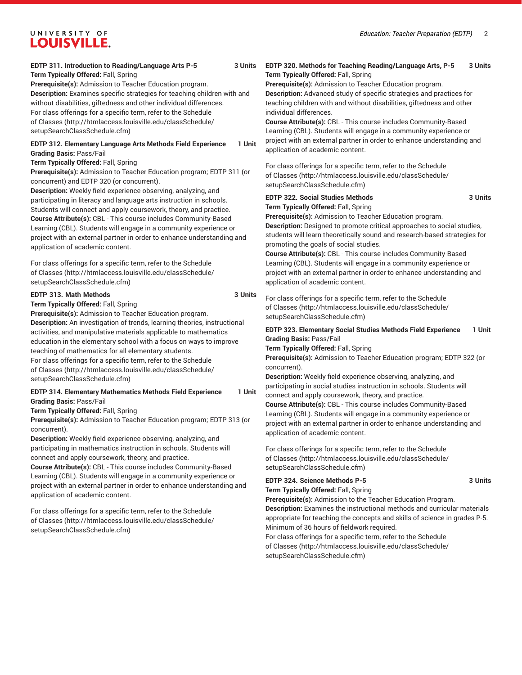#### **EDTP 311. Introduction to Reading/Language Arts P-5 3 Units Term Typically Offered:** Fall, Spring

**Prerequisite(s):** Admission to Teacher Education program. **Description:** Examines specific strategies for teaching children with and without disabilities, giftedness and other individual differences. For class offerings for a specific term, refer to the [Schedule](http://htmlaccess.louisville.edu/classSchedule/setupSearchClassSchedule.cfm) [of Classes \(http://htmlaccess.louisville.edu/classSchedule/](http://htmlaccess.louisville.edu/classSchedule/setupSearchClassSchedule.cfm) [setupSearchClassSchedule.cfm\)](http://htmlaccess.louisville.edu/classSchedule/setupSearchClassSchedule.cfm)

### **EDTP 312. Elementary Language Arts Methods Field Experience 1 Unit Grading Basis:** Pass/Fail

#### **Term Typically Offered:** Fall, Spring

**Prerequisite(s):** Admission to Teacher Education program; EDTP 311 (or concurrent) and EDTP 320 (or concurrent).

**Description:** Weekly field experience observing, analyzing, and participating in literacy and language arts instruction in schools. Students will connect and apply coursework, theory, and practice. **Course Attribute(s):** CBL - This course includes Community-Based Learning (CBL). Students will engage in a community experience or project with an external partner in order to enhance understanding and application of academic content.

For class offerings for a specific term, refer to the [Schedule](http://htmlaccess.louisville.edu/classSchedule/setupSearchClassSchedule.cfm) [of Classes \(http://htmlaccess.louisville.edu/classSchedule/](http://htmlaccess.louisville.edu/classSchedule/setupSearchClassSchedule.cfm) [setupSearchClassSchedule.cfm\)](http://htmlaccess.louisville.edu/classSchedule/setupSearchClassSchedule.cfm)

#### **EDTP 313. Math Methods 3 Units**

**Term Typically Offered:** Fall, Spring

**Prerequisite(s):** Admission to Teacher Education program. **Description:** An investigation of trends, learning theories, instructional activities, and manipulative materials applicable to mathematics education in the elementary school with a focus on ways to improve teaching of mathematics for all elementary students.

For class offerings for a specific term, refer to the [Schedule](http://htmlaccess.louisville.edu/classSchedule/setupSearchClassSchedule.cfm) [of Classes \(http://htmlaccess.louisville.edu/classSchedule/](http://htmlaccess.louisville.edu/classSchedule/setupSearchClassSchedule.cfm) [setupSearchClassSchedule.cfm\)](http://htmlaccess.louisville.edu/classSchedule/setupSearchClassSchedule.cfm)

#### **EDTP 314. Elementary Mathematics Methods Field Experience 1 Unit Grading Basis:** Pass/Fail

**Term Typically Offered:** Fall, Spring

**Prerequisite(s):** Admission to Teacher Education program; EDTP 313 (or concurrent).

**Description:** Weekly field experience observing, analyzing, and participating in mathematics instruction in schools. Students will connect and apply coursework, theory, and practice.

**Course Attribute(s):** CBL - This course includes Community-Based Learning (CBL). Students will engage in a community experience or project with an external partner in order to enhance understanding and application of academic content.

For class offerings for a specific term, refer to the [Schedule](http://htmlaccess.louisville.edu/classSchedule/setupSearchClassSchedule.cfm) [of Classes \(http://htmlaccess.louisville.edu/classSchedule/](http://htmlaccess.louisville.edu/classSchedule/setupSearchClassSchedule.cfm) [setupSearchClassSchedule.cfm\)](http://htmlaccess.louisville.edu/classSchedule/setupSearchClassSchedule.cfm)

# **EDTP 320. Methods for Teaching Reading/Language Arts, P-5 3 Units Term Typically Offered:** Fall, Spring

**Prerequisite(s):** Admission to Teacher Education program. **Description:** Advanced study of specific strategies and practices for teaching children with and without disabilities, giftedness and other individual differences.

**Course Attribute(s):** CBL - This course includes Community-Based Learning (CBL). Students will engage in a community experience or project with an external partner in order to enhance understanding and application of academic content.

For class offerings for a specific term, refer to the [Schedule](http://htmlaccess.louisville.edu/classSchedule/setupSearchClassSchedule.cfm) [of Classes](http://htmlaccess.louisville.edu/classSchedule/setupSearchClassSchedule.cfm) ([http://htmlaccess.louisville.edu/classSchedule/](http://htmlaccess.louisville.edu/classSchedule/setupSearchClassSchedule.cfm) [setupSearchClassSchedule.cfm\)](http://htmlaccess.louisville.edu/classSchedule/setupSearchClassSchedule.cfm)

#### **EDTP 322. Social Studies Methods 3 Units Term Typically Offered:** Fall, Spring

**Prerequisite(s):** Admission to Teacher Education program. **Description:** Designed to promote critical approaches to social studies, students will learn theoretically sound and research-based strategies for promoting the goals of social studies.

**Course Attribute(s):** CBL - This course includes Community-Based Learning (CBL). Students will engage in a community experience or project with an external partner in order to enhance understanding and application of academic content.

For class offerings for a specific term, refer to the [Schedule](http://htmlaccess.louisville.edu/classSchedule/setupSearchClassSchedule.cfm) [of Classes](http://htmlaccess.louisville.edu/classSchedule/setupSearchClassSchedule.cfm) ([http://htmlaccess.louisville.edu/classSchedule/](http://htmlaccess.louisville.edu/classSchedule/setupSearchClassSchedule.cfm) [setupSearchClassSchedule.cfm\)](http://htmlaccess.louisville.edu/classSchedule/setupSearchClassSchedule.cfm)

### **EDTP 323. Elementary Social Studies Methods Field Experience 1 Unit Grading Basis:** Pass/Fail

**Term Typically Offered:** Fall, Spring

**Prerequisite(s):** Admission to Teacher Education program; EDTP 322 (or concurrent).

**Description:** Weekly field experience observing, analyzing, and participating in social studies instruction in schools. Students will connect and apply coursework, theory, and practice.

**Course Attribute(s):** CBL - This course includes Community-Based Learning (CBL). Students will engage in a community experience or project with an external partner in order to enhance understanding and application of academic content.

For class offerings for a specific term, refer to the [Schedule](http://htmlaccess.louisville.edu/classSchedule/setupSearchClassSchedule.cfm) [of Classes](http://htmlaccess.louisville.edu/classSchedule/setupSearchClassSchedule.cfm) ([http://htmlaccess.louisville.edu/classSchedule/](http://htmlaccess.louisville.edu/classSchedule/setupSearchClassSchedule.cfm) [setupSearchClassSchedule.cfm\)](http://htmlaccess.louisville.edu/classSchedule/setupSearchClassSchedule.cfm)

#### **EDTP 324. Science Methods P-5 3 Units Term Typically Offered:** Fall, Spring

**Prerequisite(s):** Admission to the Teacher Education Program. **Description:** Examines the instructional methods and curricular materials appropriate for teaching the concepts and skills of science in grades P-5. Minimum of 36 hours of fieldwork required.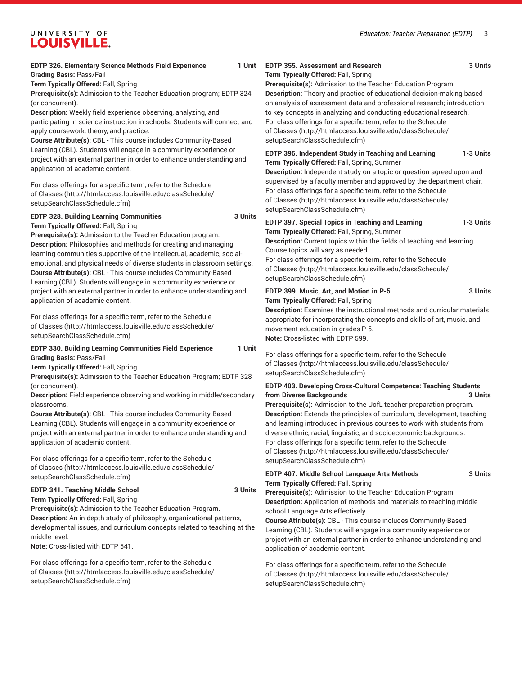#### *Education: Teacher Preparation (EDTP)* 3

# UNIVERSITY OF LOUISVILLE.

| <b>EDTP 326. Elementary Science Methods Field Experience</b><br>1 Unit<br><b>Grading Basis: Pass/Fail</b><br>Term Typically Offered: Fall, Spring<br>Prerequisite(s): Admission to the Teacher Education program; EDTP 324<br>(or concurrent).<br>Description: Weekly field experience observing, analyzing, and<br>participating in science instruction in schools. Students will connect and<br>apply coursework, theory, and practice.<br>Course Attribute(s): CBL - This course includes Community-Based                              | EDTP 355. Assessment and Research<br>3 Units<br>Term Typically Offered: Fall, Spring<br>Prerequisite(s): Admission to the Teacher Education Program.<br>Description: Theory and practice of educational decision-making based<br>on analysis of assessment data and professional research; introduction<br>to key concepts in analyzing and conducting educational research.<br>For class offerings for a specific term, refer to the Schedule<br>of Classes (http://htmlaccess.louisville.edu/classSchedule/<br>setupSearchClassSchedule.cfm)                       |  |
|-------------------------------------------------------------------------------------------------------------------------------------------------------------------------------------------------------------------------------------------------------------------------------------------------------------------------------------------------------------------------------------------------------------------------------------------------------------------------------------------------------------------------------------------|----------------------------------------------------------------------------------------------------------------------------------------------------------------------------------------------------------------------------------------------------------------------------------------------------------------------------------------------------------------------------------------------------------------------------------------------------------------------------------------------------------------------------------------------------------------------|--|
| Learning (CBL). Students will engage in a community experience or<br>project with an external partner in order to enhance understanding and<br>application of academic content.<br>For class offerings for a specific term, refer to the Schedule<br>of Classes (http://htmlaccess.louisville.edu/classSchedule/<br>setupSearchClassSchedule.cfm)                                                                                                                                                                                         | EDTP 396. Independent Study in Teaching and Learning<br>1-3 Units<br>Term Typically Offered: Fall, Spring, Summer<br>Description: Independent study on a topic or question agreed upon and<br>supervised by a faculty member and approved by the department chair.<br>For class offerings for a specific term, refer to the Schedule<br>of Classes (http://htmlaccess.louisville.edu/classSchedule/<br>setupSearchClassSchedule.cfm)                                                                                                                                 |  |
| <b>EDTP 328. Building Learning Communities</b><br>3 Units<br>Term Typically Offered: Fall, Spring<br>Prerequisite(s): Admission to the Teacher Education program.<br><b>Description:</b> Philosophies and methods for creating and managing<br>learning communities supportive of the intellectual, academic, social-<br>emotional, and physical needs of diverse students in classroom settings.<br>Course Attribute(s): CBL - This course includes Community-Based<br>Learning (CBL). Students will engage in a community experience or | EDTP 397. Special Topics in Teaching and Learning<br>1-3 Units<br>Term Typically Offered: Fall, Spring, Summer<br>Description: Current topics within the fields of teaching and learning.<br>Course topics will vary as needed.<br>For class offerings for a specific term, refer to the Schedule<br>of Classes (http://htmlaccess.louisville.edu/classSchedule/<br>setupSearchClassSchedule.cfm)                                                                                                                                                                    |  |
| project with an external partner in order to enhance understanding and<br>application of academic content.<br>For class offerings for a specific term, refer to the Schedule<br>of Classes (http://htmlaccess.louisville.edu/classSchedule/<br>setupSearchClassSchedule.cfm)                                                                                                                                                                                                                                                              | EDTP 399. Music, Art, and Motion in P-5<br>3 Units<br>Term Typically Offered: Fall, Spring<br>Description: Examines the instructional methods and curricular materials<br>appropriate for incorporating the concepts and skills of art, music, and<br>movement education in grades P-5.<br>Note: Cross-listed with EDTP 599.                                                                                                                                                                                                                                         |  |
| <b>EDTP 330. Building Learning Communities Field Experience</b><br>1 Unit<br><b>Grading Basis: Pass/Fail</b><br>Term Typically Offered: Fall, Spring<br>Prerequisite(s): Admission to the Teacher Education Program; EDTP 328                                                                                                                                                                                                                                                                                                             | For class offerings for a specific term, refer to the Schedule<br>of Classes (http://htmlaccess.louisville.edu/classSchedule/<br>setupSearchClassSchedule.cfm)                                                                                                                                                                                                                                                                                                                                                                                                       |  |
| (or concurrent).<br>Description: Field experience observing and working in middle/secondary<br>classrooms.<br>Course Attribute(s): CBL - This course includes Community-Based<br>Learning (CBL). Students will engage in a community experience or<br>project with an external partner in order to enhance understanding and<br>application of academic content.                                                                                                                                                                          | EDTP 403. Developing Cross-Cultural Competence: Teaching Students<br>from Diverse Backgrounds<br>3 Units<br>Prerequisite(s): Admission to the UofL teacher preparation program.<br>Description: Extends the principles of curriculum, development, teaching<br>and learning introduced in previous courses to work with students from<br>diverse ethnic, racial, linguistic, and socioeconomic backgrounds.<br>For class offerings for a specific term, refer to the Schedule<br>of Classes (http://htmlaccess.louisville.edu/classSchedule/                         |  |
| For class offerings for a specific term, refer to the Schedule<br>of Classes (http://htmlaccess.louisville.edu/classSchedule/<br>setupSearchClassSchedule.cfm)<br>EDTP 341. Teaching Middle School<br>3 Units<br>Term Typically Offered: Fall, Spring<br>Prerequisite(s): Admission to the Teacher Education Program.<br>Description: An in-depth study of philosophy, organizational patterns,<br>developmental issues, and curriculum concepts related to teaching at the<br>middle level.<br>Note: Cross-listed with EDTP 541.         | setupSearchClassSchedule.cfm)<br>EDTP 407. Middle School Language Arts Methods<br>3 Units<br>Term Typically Offered: Fall, Spring<br>Prerequisite(s): Admission to the Teacher Education Program.<br>Description: Application of methods and materials to teaching middle<br>school Language Arts effectively.<br>Course Attribute(s): CBL - This course includes Community-Based<br>Learning (CBL). Students will engage in a community experience or<br>project with an external partner in order to enhance understanding and<br>application of academic content. |  |
| For class offerings for a specific term, refer to the Schedule<br>of Classes (http://htmlaccess.louisville.edu/classSchedule/                                                                                                                                                                                                                                                                                                                                                                                                             | For class offerings for a specific term, refer to the Schedule<br>of Classes (http://htmlaccess.louisville.edu/classSchedule/                                                                                                                                                                                                                                                                                                                                                                                                                                        |  |

[setupSearchClassSchedule.cfm\)](http://htmlaccess.louisville.edu/classSchedule/setupSearchClassSchedule.cfm)

[of Classes \(http://htmlaccess.louisville.edu/classSchedule/](http://htmlaccess.louisville.edu/classSchedule/setupSearchClassSchedule.cfm) [setupSearchClassSchedule.cfm\)](http://htmlaccess.louisville.edu/classSchedule/setupSearchClassSchedule.cfm)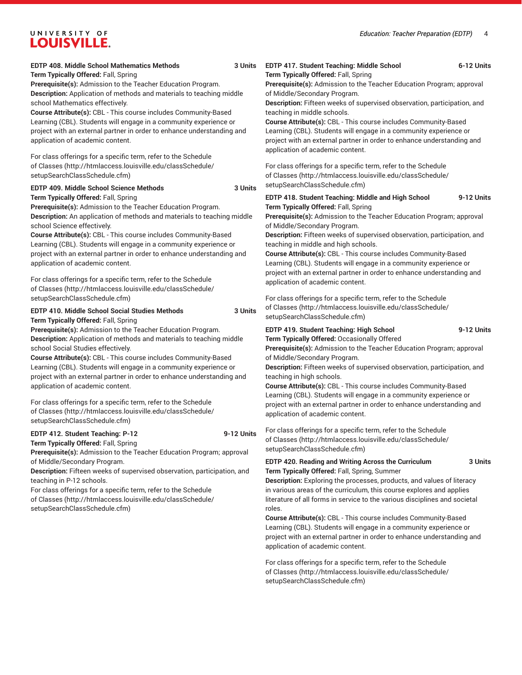### **EDTP 408. Middle School Mathematics Methods 3 Units**

**Term Typically Offered:** Fall, Spring

**Prerequisite(s):** Admission to the Teacher Education Program. **Description:** Application of methods and materials to teaching middle school Mathematics effectively.

**Course Attribute(s):** CBL - This course includes Community-Based Learning (CBL). Students will engage in a community experience or project with an external partner in order to enhance understanding and application of academic content.

For class offerings for a specific term, refer to the [Schedule](http://htmlaccess.louisville.edu/classSchedule/setupSearchClassSchedule.cfm) [of Classes \(http://htmlaccess.louisville.edu/classSchedule/](http://htmlaccess.louisville.edu/classSchedule/setupSearchClassSchedule.cfm) [setupSearchClassSchedule.cfm\)](http://htmlaccess.louisville.edu/classSchedule/setupSearchClassSchedule.cfm)

### **EDTP 409. Middle School Science Methods 3 Units**

**Term Typically Offered:** Fall, Spring

**Prerequisite(s):** Admission to the Teacher Education Program. **Description:** An application of methods and materials to teaching middle school Science effectively.

**Course Attribute(s):** CBL - This course includes Community-Based Learning (CBL). Students will engage in a community experience or project with an external partner in order to enhance understanding and application of academic content.

For class offerings for a specific term, refer to the [Schedule](http://htmlaccess.louisville.edu/classSchedule/setupSearchClassSchedule.cfm) [of Classes \(http://htmlaccess.louisville.edu/classSchedule/](http://htmlaccess.louisville.edu/classSchedule/setupSearchClassSchedule.cfm) [setupSearchClassSchedule.cfm\)](http://htmlaccess.louisville.edu/classSchedule/setupSearchClassSchedule.cfm)

**EDTP 410. Middle School Social Studies Methods 3 Units Term Typically Offered:** Fall, Spring

**Prerequisite(s):** Admission to the Teacher Education Program. **Description:** Application of methods and materials to teaching middle school Social Studies effectively.

**Course Attribute(s):** CBL - This course includes Community-Based Learning (CBL). Students will engage in a community experience or project with an external partner in order to enhance understanding and application of academic content.

For class offerings for a specific term, refer to the [Schedule](http://htmlaccess.louisville.edu/classSchedule/setupSearchClassSchedule.cfm) [of Classes \(http://htmlaccess.louisville.edu/classSchedule/](http://htmlaccess.louisville.edu/classSchedule/setupSearchClassSchedule.cfm) [setupSearchClassSchedule.cfm\)](http://htmlaccess.louisville.edu/classSchedule/setupSearchClassSchedule.cfm)

#### **EDTP 412. Student Teaching: P-12 9-12 Units**

**Term Typically Offered:** Fall, Spring **Prerequisite(s):** Admission to the Teacher Education Program; approval of Middle/Secondary Program.

**Description:** Fifteen weeks of supervised observation, participation, and teaching in P-12 schools.

For class offerings for a specific term, refer to the [Schedule](http://htmlaccess.louisville.edu/classSchedule/setupSearchClassSchedule.cfm) [of Classes \(http://htmlaccess.louisville.edu/classSchedule/](http://htmlaccess.louisville.edu/classSchedule/setupSearchClassSchedule.cfm) [setupSearchClassSchedule.cfm\)](http://htmlaccess.louisville.edu/classSchedule/setupSearchClassSchedule.cfm)

### **EDTP 417. Student Teaching: Middle School 6-12 Units**

**Term Typically Offered:** Fall, Spring

**Prerequisite(s):** Admission to the Teacher Education Program; approval of Middle/Secondary Program.

**Description:** Fifteen weeks of supervised observation, participation, and teaching in middle schools.

**Course Attribute(s):** CBL - This course includes Community-Based Learning (CBL). Students will engage in a community experience or project with an external partner in order to enhance understanding and application of academic content.

For class offerings for a specific term, refer to the [Schedule](http://htmlaccess.louisville.edu/classSchedule/setupSearchClassSchedule.cfm) [of Classes](http://htmlaccess.louisville.edu/classSchedule/setupSearchClassSchedule.cfm) ([http://htmlaccess.louisville.edu/classSchedule/](http://htmlaccess.louisville.edu/classSchedule/setupSearchClassSchedule.cfm) [setupSearchClassSchedule.cfm\)](http://htmlaccess.louisville.edu/classSchedule/setupSearchClassSchedule.cfm)

#### **EDTP 418. Student Teaching: Middle and High School 9-12 Units Term Typically Offered:** Fall, Spring

**Prerequisite(s):** Admission to the Teacher Education Program; approval of Middle/Secondary Program.

**Description:** Fifteen weeks of supervised observation, participation, and teaching in middle and high schools.

**Course Attribute(s):** CBL - This course includes Community-Based Learning (CBL). Students will engage in a community experience or project with an external partner in order to enhance understanding and application of academic content.

For class offerings for a specific term, refer to the [Schedule](http://htmlaccess.louisville.edu/classSchedule/setupSearchClassSchedule.cfm) [of Classes](http://htmlaccess.louisville.edu/classSchedule/setupSearchClassSchedule.cfm) ([http://htmlaccess.louisville.edu/classSchedule/](http://htmlaccess.louisville.edu/classSchedule/setupSearchClassSchedule.cfm) [setupSearchClassSchedule.cfm\)](http://htmlaccess.louisville.edu/classSchedule/setupSearchClassSchedule.cfm)

#### **EDTP 419. Student Teaching: High School 9-12 Units Term Typically Offered:** Occasionally Offered

**Prerequisite(s):** Admission to the Teacher Education Program; approval of Middle/Secondary Program.

**Description:** Fifteen weeks of supervised observation, participation, and teaching in high schools.

**Course Attribute(s):** CBL - This course includes Community-Based Learning (CBL). Students will engage in a community experience or project with an external partner in order to enhance understanding and application of academic content.

For class offerings for a specific term, refer to the [Schedule](http://htmlaccess.louisville.edu/classSchedule/setupSearchClassSchedule.cfm) [of Classes](http://htmlaccess.louisville.edu/classSchedule/setupSearchClassSchedule.cfm) ([http://htmlaccess.louisville.edu/classSchedule/](http://htmlaccess.louisville.edu/classSchedule/setupSearchClassSchedule.cfm) [setupSearchClassSchedule.cfm\)](http://htmlaccess.louisville.edu/classSchedule/setupSearchClassSchedule.cfm)

**EDTP 420. Reading and Writing Across the Curriculum 3 Units Term Typically Offered:** Fall, Spring, Summer

**Description:** Exploring the processes, products, and values of literacy in various areas of the curriculum, this course explores and applies literature of all forms in service to the various disciplines and societal roles.

**Course Attribute(s):** CBL - This course includes Community-Based Learning (CBL). Students will engage in a community experience or project with an external partner in order to enhance understanding and application of academic content.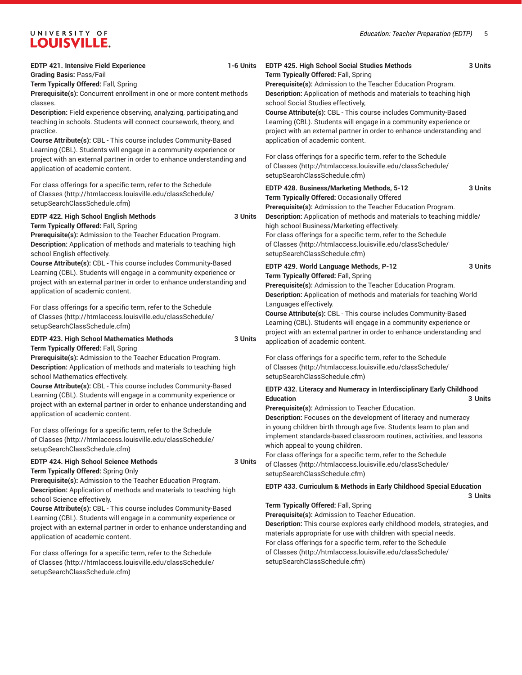#### **EDTP 421. Intensive Field Experience 1-6 Units**

**Grading Basis:** Pass/Fail

**Term Typically Offered:** Fall, Spring

**Prerequisite(s):** Concurrent enrollment in one or more content methods classes.

**Description:** Field experience observing, analyzing, participating,and teaching in schools. Students will connect coursework, theory, and practice.

**Course Attribute(s):** CBL - This course includes Community-Based Learning (CBL). Students will engage in a community experience or project with an external partner in order to enhance understanding and application of academic content.

For class offerings for a specific term, refer to the [Schedule](http://htmlaccess.louisville.edu/classSchedule/setupSearchClassSchedule.cfm) [of Classes \(http://htmlaccess.louisville.edu/classSchedule/](http://htmlaccess.louisville.edu/classSchedule/setupSearchClassSchedule.cfm) [setupSearchClassSchedule.cfm\)](http://htmlaccess.louisville.edu/classSchedule/setupSearchClassSchedule.cfm)

# **EDTP 422. High School English Methods 3 Units**

**Term Typically Offered:** Fall, Spring

**Prerequisite(s):** Admission to the Teacher Education Program. **Description:** Application of methods and materials to teaching high school English effectively.

**Course Attribute(s):** CBL - This course includes Community-Based Learning (CBL). Students will engage in a community experience or project with an external partner in order to enhance understanding and application of academic content.

For class offerings for a specific term, refer to the [Schedule](http://htmlaccess.louisville.edu/classSchedule/setupSearchClassSchedule.cfm) [of Classes \(http://htmlaccess.louisville.edu/classSchedule/](http://htmlaccess.louisville.edu/classSchedule/setupSearchClassSchedule.cfm) [setupSearchClassSchedule.cfm\)](http://htmlaccess.louisville.edu/classSchedule/setupSearchClassSchedule.cfm)

#### **EDTP 423. High School Mathematics Methods 3 Units Term Typically Offered:** Fall, Spring

**Prerequisite(s):** Admission to the Teacher Education Program. **Description:** Application of methods and materials to teaching high school Mathematics effectively.

**Course Attribute(s):** CBL - This course includes Community-Based Learning (CBL). Students will engage in a community experience or project with an external partner in order to enhance understanding and application of academic content.

For class offerings for a specific term, refer to the [Schedule](http://htmlaccess.louisville.edu/classSchedule/setupSearchClassSchedule.cfm) [of Classes \(http://htmlaccess.louisville.edu/classSchedule/](http://htmlaccess.louisville.edu/classSchedule/setupSearchClassSchedule.cfm) [setupSearchClassSchedule.cfm\)](http://htmlaccess.louisville.edu/classSchedule/setupSearchClassSchedule.cfm)

#### **EDTP 424. High School Science Methods 3 Units Term Typically Offered:** Spring Only

**Prerequisite(s):** Admission to the Teacher Education Program. **Description:** Application of methods and materials to teaching high school Science effectively.

**Course Attribute(s):** CBL - This course includes Community-Based Learning (CBL). Students will engage in a community experience or project with an external partner in order to enhance understanding and application of academic content.

For class offerings for a specific term, refer to the [Schedule](http://htmlaccess.louisville.edu/classSchedule/setupSearchClassSchedule.cfm) [of Classes \(http://htmlaccess.louisville.edu/classSchedule/](http://htmlaccess.louisville.edu/classSchedule/setupSearchClassSchedule.cfm) [setupSearchClassSchedule.cfm\)](http://htmlaccess.louisville.edu/classSchedule/setupSearchClassSchedule.cfm)

#### **EDTP 425. High School Social Studies Methods 3 Units Term Typically Offered:** Fall, Spring

**Prerequisite(s):** Admission to the Teacher Education Program. **Description:** Application of methods and materials to teaching high school Social Studies effectively,

**Course Attribute(s):** CBL - This course includes Community-Based Learning (CBL). Students will engage in a community experience or project with an external partner in order to enhance understanding and application of academic content.

For class offerings for a specific term, refer to the [Schedule](http://htmlaccess.louisville.edu/classSchedule/setupSearchClassSchedule.cfm) [of Classes](http://htmlaccess.louisville.edu/classSchedule/setupSearchClassSchedule.cfm) ([http://htmlaccess.louisville.edu/classSchedule/](http://htmlaccess.louisville.edu/classSchedule/setupSearchClassSchedule.cfm) [setupSearchClassSchedule.cfm\)](http://htmlaccess.louisville.edu/classSchedule/setupSearchClassSchedule.cfm)

| EDTP 428. Business/Marketing Methods, 5-12<br>Term Typically Offered: Occasionally Offered<br><b>Prerequisite(s):</b> Admission to the Teacher Education Program.                                                                                                                             | 3 Units |
|-----------------------------------------------------------------------------------------------------------------------------------------------------------------------------------------------------------------------------------------------------------------------------------------------|---------|
| <b>Description:</b> Application of methods and materials to teaching middle/<br>high school Business/Marketing effectively.<br>For class offerings for a specific term, refer to the Schedule<br>of Classes (http://htmlaccess.louisville.edu/classSchedule/<br>setupSearchClassSchedule.cfm) |         |
| EDTP 429. World Language Methods, P-12                                                                                                                                                                                                                                                        |         |

**Term Typically Offered:** Fall, Spring

**Prerequisite(s):** Admission to the Teacher Education Program. **Description:** Application of methods and materials for teaching World Languages effectively.

**Course Attribute(s):** CBL - This course includes Community-Based Learning (CBL). Students will engage in a community experience or project with an external partner in order to enhance understanding and application of academic content.

For class offerings for a specific term, refer to the [Schedule](http://htmlaccess.louisville.edu/classSchedule/setupSearchClassSchedule.cfm) [of Classes](http://htmlaccess.louisville.edu/classSchedule/setupSearchClassSchedule.cfm) ([http://htmlaccess.louisville.edu/classSchedule/](http://htmlaccess.louisville.edu/classSchedule/setupSearchClassSchedule.cfm) [setupSearchClassSchedule.cfm\)](http://htmlaccess.louisville.edu/classSchedule/setupSearchClassSchedule.cfm)

### **EDTP 432. Literacy and Numeracy in Interdisciplinary Early Childhood Education 3 Units**

**Prerequisite(s):** Admission to Teacher Education.

**Description:** Focuses on the development of literacy and numeracy in young children birth through age five. Students learn to plan and implement standards-based classroom routines, activities, and lessons which appeal to young children.

For class offerings for a specific term, refer to the [Schedule](http://htmlaccess.louisville.edu/classSchedule/setupSearchClassSchedule.cfm) [of Classes](http://htmlaccess.louisville.edu/classSchedule/setupSearchClassSchedule.cfm) ([http://htmlaccess.louisville.edu/classSchedule/](http://htmlaccess.louisville.edu/classSchedule/setupSearchClassSchedule.cfm) [setupSearchClassSchedule.cfm\)](http://htmlaccess.louisville.edu/classSchedule/setupSearchClassSchedule.cfm)

#### **EDTP 433. Curriculum & Methods in Early Childhood Special Education 3 Units**

# **Term Typically Offered:** Fall, Spring

**Prerequisite(s):** Admission to Teacher Education.

**Description:** This course explores early childhood models, strategies, and materials appropriate for use with children with special needs. For class offerings for a specific term, refer to the [Schedule](http://htmlaccess.louisville.edu/classSchedule/setupSearchClassSchedule.cfm) [of Classes](http://htmlaccess.louisville.edu/classSchedule/setupSearchClassSchedule.cfm) ([http://htmlaccess.louisville.edu/classSchedule/](http://htmlaccess.louisville.edu/classSchedule/setupSearchClassSchedule.cfm) [setupSearchClassSchedule.cfm\)](http://htmlaccess.louisville.edu/classSchedule/setupSearchClassSchedule.cfm)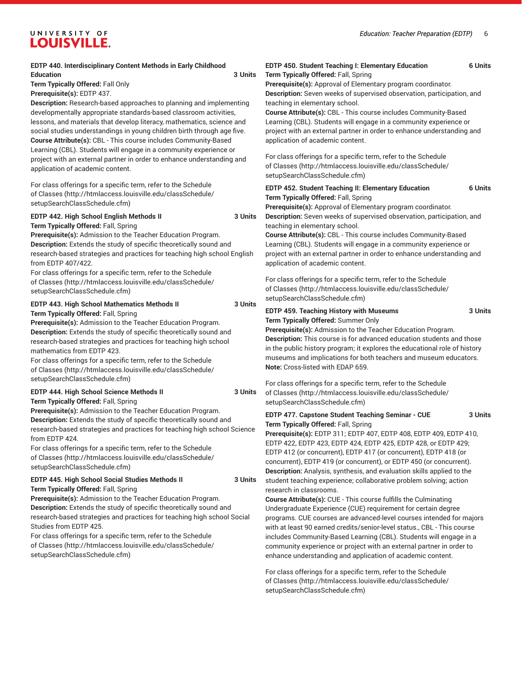#### **EDTP 440. Interdisciplinary Content Methods in Early Childhood Education 3 Units Term Typically Offered:** Fall Only **Prerequisite(s):** EDTP 437. **Description:** Research-based approaches to planning and implementing developmentally appropriate standards-based classroom activities, lessons, and materials that develop literacy, mathematics, science and social studies understandings in young children birth through age five. **Course Attribute(s):** CBL - This course includes Community-Based Learning (CBL). Students will engage in a community experience or project with an external partner in order to enhance understanding and application of academic content. For class offerings for a specific term, refer to the [Schedule](http://htmlaccess.louisville.edu/classSchedule/setupSearchClassSchedule.cfm) [of Classes \(http://htmlaccess.louisville.edu/classSchedule/](http://htmlaccess.louisville.edu/classSchedule/setupSearchClassSchedule.cfm) [setupSearchClassSchedule.cfm\)](http://htmlaccess.louisville.edu/classSchedule/setupSearchClassSchedule.cfm) **EDTP 442. High School English Methods II 3 Units Term Typically Offered:** Fall, Spring **Prerequisite(s):** Admission to the Teacher Education Program. **Description:** Extends the study of specific theoretically sound and research-based strategies and practices for teaching high school English from EDTP 407/422. For class offerings for a specific term, refer to the [Schedule](http://htmlaccess.louisville.edu/classSchedule/setupSearchClassSchedule.cfm) [of Classes \(http://htmlaccess.louisville.edu/classSchedule/](http://htmlaccess.louisville.edu/classSchedule/setupSearchClassSchedule.cfm) [setupSearchClassSchedule.cfm\)](http://htmlaccess.louisville.edu/classSchedule/setupSearchClassSchedule.cfm) **EDTP 443. High School Mathematics Methods II 3 Units Term Typically Offered:** Fall, Spring **Prerequisite(s):** Admission to the Teacher Education Program. **Description:** Extends the study of specific theoretically sound and research-based strategies and practices for teaching high school mathematics from EDTP 423. For class offerings for a specific term, refer to the [Schedule](http://htmlaccess.louisville.edu/classSchedule/setupSearchClassSchedule.cfm) [of Classes \(http://htmlaccess.louisville.edu/classSchedule/](http://htmlaccess.louisville.edu/classSchedule/setupSearchClassSchedule.cfm) [setupSearchClassSchedule.cfm\)](http://htmlaccess.louisville.edu/classSchedule/setupSearchClassSchedule.cfm) **EDTP 444. High School Science Methods II 3 Units Term Typically Offered:** Fall, Spring **Prerequisite(s):** Admission to the Teacher Education Program. **Description:** Extends the study of specific theoretically sound and research-based strategies and practices for teaching high school Science from EDTP 424. For class offerings for a specific term, refer to the [Schedule](http://htmlaccess.louisville.edu/classSchedule/setupSearchClassSchedule.cfm) [of Classes \(http://htmlaccess.louisville.edu/classSchedule/](http://htmlaccess.louisville.edu/classSchedule/setupSearchClassSchedule.cfm) [setupSearchClassSchedule.cfm\)](http://htmlaccess.louisville.edu/classSchedule/setupSearchClassSchedule.cfm) **EDTP 445. High School Social Studies Methods II 3 Units Term Typically Offered:** Fall, Spring **Prerequisite(s):** Admission to the Teacher Education Program. **Description:** Extends the study of specific theoretically sound and research-based strategies and practices for teaching high school Social Studies from EDTP 425. For class offerings for a specific term, refer to the [Schedule](http://htmlaccess.louisville.edu/classSchedule/setupSearchClassSchedule.cfm) **EDTP 450. Student Teaching I: Elementary Education 6 Units Term Typically Offered:** Fall, Spring **Prerequisite(s):** Approval of Elementary program coordinator. teaching in elementary school. **Course Attribute(s):** CBL - This course includes Community-Based Learning (CBL). Students will engage in a community experience or application of academic content. For class offerings for a specific term, refer to the [Schedule](http://htmlaccess.louisville.edu/classSchedule/setupSearchClassSchedule.cfm) [of Classes](http://htmlaccess.louisville.edu/classSchedule/setupSearchClassSchedule.cfm) ([http://htmlaccess.louisville.edu/classSchedule/](http://htmlaccess.louisville.edu/classSchedule/setupSearchClassSchedule.cfm) [setupSearchClassSchedule.cfm\)](http://htmlaccess.louisville.edu/classSchedule/setupSearchClassSchedule.cfm) **Term Typically Offered:** Fall, Spring **Prerequisite(s):** Approval of Elementary program coordinator. **Description:** Seven weeks of supervised observation, participation, and teaching in elementary school. **Course Attribute(s):** CBL - This course includes Community-Based Learning (CBL). Students will engage in a community experience or application of academic content. For class offerings for a specific term, refer to the [Schedule](http://htmlaccess.louisville.edu/classSchedule/setupSearchClassSchedule.cfm) [of Classes](http://htmlaccess.louisville.edu/classSchedule/setupSearchClassSchedule.cfm) ([http://htmlaccess.louisville.edu/classSchedule/](http://htmlaccess.louisville.edu/classSchedule/setupSearchClassSchedule.cfm) [setupSearchClassSchedule.cfm\)](http://htmlaccess.louisville.edu/classSchedule/setupSearchClassSchedule.cfm) **EDTP 459. Teaching History with Museums 3 Units Term Typically Offered:** Summer Only **Prerequisite(s):** Admission to the Teacher Education Program. museums and implications for both teachers and museum educators. **Note:** Cross-listed with EDAP 659. For class offerings for a specific term, refer to the [Schedule](http://htmlaccess.louisville.edu/classSchedule/setupSearchClassSchedule.cfm) [of Classes](http://htmlaccess.louisville.edu/classSchedule/setupSearchClassSchedule.cfm) ([http://htmlaccess.louisville.edu/classSchedule/](http://htmlaccess.louisville.edu/classSchedule/setupSearchClassSchedule.cfm) [setupSearchClassSchedule.cfm\)](http://htmlaccess.louisville.edu/classSchedule/setupSearchClassSchedule.cfm) **Term Typically Offered:** Fall, Spring **Prerequisite(s):** EDTP 311; EDTP 407, EDTP 408, EDTP 409, EDTP 410, EDTP 422, EDTP 423, EDTP 424, EDTP 425, EDTP 428, or EDTP 429; EDTP 412 (or concurrent), EDTP 417 (or concurrent), EDTP 418 (or concurrent), EDTP 419 (or concurrent), or EDTP 450 (or concurrent). **Description:** Analysis, synthesis, and evaluation skills applied to the student teaching experience; collaborative problem solving; action research in classrooms. **Course Attribute(s):** CUE - This course fulfills the Culminating Undergraduate Experience (CUE) requirement for certain degree with at least 90 earned credits/senior-level status., CBL - This course

[of Classes \(http://htmlaccess.louisville.edu/classSchedule/](http://htmlaccess.louisville.edu/classSchedule/setupSearchClassSchedule.cfm) [setupSearchClassSchedule.cfm\)](http://htmlaccess.louisville.edu/classSchedule/setupSearchClassSchedule.cfm)

**Description:** Seven weeks of supervised observation, participation, and

project with an external partner in order to enhance understanding and

| <b>EDTP 452. Student Teaching II: Elementary Education</b> | <b>6 Units</b> |
|------------------------------------------------------------|----------------|
| <b>Term Typically Offered: Fall, Spring</b>                |                |

project with an external partner in order to enhance understanding and

**Description:** This course is for advanced education students and those in the public history program; it explores the educational role of history

**EDTP 477. Capstone Student Teaching Seminar - CUE 3 Units**

programs. CUE courses are advanced-level courses intended for majors includes Community-Based Learning (CBL). Students will engage in a community experience or project with an external partner in order to enhance understanding and application of academic content.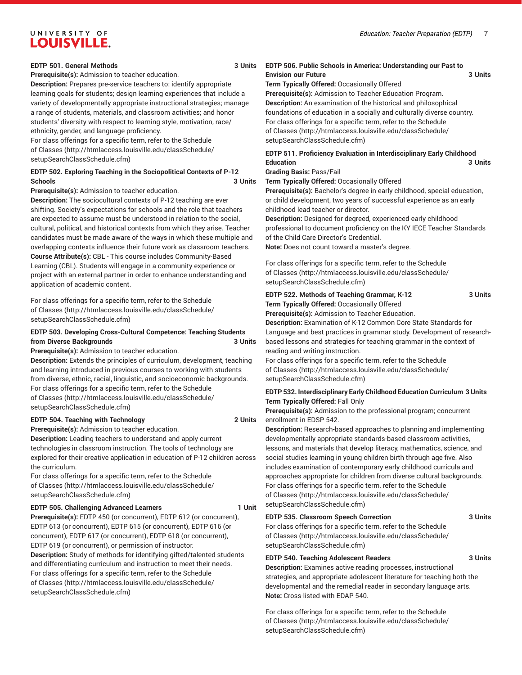#### *Education: Teacher Preparation (EDTP)* 7

# UNIVERSITY OF **LOUISVILLE.**

#### **EDTP 501. General Methods 3 Units**

**Prerequisite(s):** Admission to teacher education.

**Description:** Prepares pre-service teachers to: identify appropriate learning goals for students; design learning experiences that include a variety of developmentally appropriate instructional strategies; manage a range of students, materials, and classroom activities; and honor students' diversity with respect to learning style, motivation, race/ ethnicity, gender, and language proficiency.

For class offerings for a specific term, refer to the [Schedule](http://htmlaccess.louisville.edu/classSchedule/setupSearchClassSchedule.cfm) [of Classes \(http://htmlaccess.louisville.edu/classSchedule/](http://htmlaccess.louisville.edu/classSchedule/setupSearchClassSchedule.cfm) [setupSearchClassSchedule.cfm\)](http://htmlaccess.louisville.edu/classSchedule/setupSearchClassSchedule.cfm)

### **EDTP 502. Exploring Teaching in the Sociopolitical Contexts of P-12 Schools 3 Units**

**Prerequisite(s):** Admission to teacher education.

**Description:** The sociocultural contexts of P-12 teaching are ever shifting. Society's expectations for schools and the role that teachers are expected to assume must be understood in relation to the social, cultural, political, and historical contexts from which they arise. Teacher candidates must be made aware of the ways in which these multiple and overlapping contexts influence their future work as classroom teachers. **Course Attribute(s):** CBL - This course includes Community-Based Learning (CBL). Students will engage in a community experience or project with an external partner in order to enhance understanding and application of academic content.

For class offerings for a specific term, refer to the [Schedule](http://htmlaccess.louisville.edu/classSchedule/setupSearchClassSchedule.cfm) [of Classes \(http://htmlaccess.louisville.edu/classSchedule/](http://htmlaccess.louisville.edu/classSchedule/setupSearchClassSchedule.cfm) [setupSearchClassSchedule.cfm\)](http://htmlaccess.louisville.edu/classSchedule/setupSearchClassSchedule.cfm)

#### **EDTP 503. Developing Cross-Cultural Competence: Teaching Students from Diverse Backgrounds 3 Units**

**Prerequisite(s):** Admission to teacher education.

**Description:** Extends the principles of curriculum, development, teaching and learning introduced in previous courses to working with students from diverse, ethnic, racial, linguistic, and socioeconomic backgrounds. For class offerings for a specific term, refer to the [Schedule](http://htmlaccess.louisville.edu/classSchedule/setupSearchClassSchedule.cfm) [of Classes \(http://htmlaccess.louisville.edu/classSchedule/](http://htmlaccess.louisville.edu/classSchedule/setupSearchClassSchedule.cfm) [setupSearchClassSchedule.cfm\)](http://htmlaccess.louisville.edu/classSchedule/setupSearchClassSchedule.cfm)

#### **EDTP 504. Teaching with Technology 2 Units**

**Prerequisite(s):** Admission to teacher education. **Description:** Leading teachers to understand and apply current technologies in classroom instruction. The tools of technology are explored for their creative application in education of P-12 children across the curriculum.

For class offerings for a specific term, refer to the [Schedule](http://htmlaccess.louisville.edu/classSchedule/setupSearchClassSchedule.cfm) [of Classes \(http://htmlaccess.louisville.edu/classSchedule/](http://htmlaccess.louisville.edu/classSchedule/setupSearchClassSchedule.cfm) [setupSearchClassSchedule.cfm\)](http://htmlaccess.louisville.edu/classSchedule/setupSearchClassSchedule.cfm)

### **EDTP 505. Challenging Advanced Learners 1 Unit**

**Prerequisite(s):** EDTP 450 (or concurrent), EDTP 612 (or concurrent), EDTP 613 (or concurrent), EDTP 615 (or concurrent), EDTP 616 (or concurrent), EDTP 617 (or concurrent), EDTP 618 (or concurrent), EDTP 619 (or concurrent), or permission of instructor.

**Description:** Study of methods for identifying gifted/talented students and differentiating curriculum and instruction to meet their needs. For class offerings for a specific term, refer to the [Schedule](http://htmlaccess.louisville.edu/classSchedule/setupSearchClassSchedule.cfm) [of Classes \(http://htmlaccess.louisville.edu/classSchedule/](http://htmlaccess.louisville.edu/classSchedule/setupSearchClassSchedule.cfm) [setupSearchClassSchedule.cfm\)](http://htmlaccess.louisville.edu/classSchedule/setupSearchClassSchedule.cfm)

#### **EDTP 506. Public Schools in America: Understanding our Past to Envision our Future 3 Units Term Typically Offered:** Occasionally Offered

**Prerequisite(s):** Admission to Teacher Education Program. **Description:** An examination of the historical and philosophical foundations of education in a socially and culturally diverse country. For class offerings for a specific term, refer to the [Schedule](http://htmlaccess.louisville.edu/classSchedule/setupSearchClassSchedule.cfm) [of Classes](http://htmlaccess.louisville.edu/classSchedule/setupSearchClassSchedule.cfm) ([http://htmlaccess.louisville.edu/classSchedule/](http://htmlaccess.louisville.edu/classSchedule/setupSearchClassSchedule.cfm) [setupSearchClassSchedule.cfm\)](http://htmlaccess.louisville.edu/classSchedule/setupSearchClassSchedule.cfm)

# **EDTP 511. Proficiency Evaluation in Interdisciplinary Early Childhood Education 3 Units**

#### **Grading Basis:** Pass/Fail

**Term Typically Offered:** Occasionally Offered

**Prerequisite(s):** Bachelor's degree in early childhood, special education, or child development, two years of successful experience as an early childhood lead teacher or director.

**Description:** Designed for degreed, experienced early childhood professional to document proficiency on the KY IECE Teacher Standards of the Child Care Director's Credential. **Note:** Does not count toward a master's degree.

For class offerings for a specific term, refer to the [Schedule](http://htmlaccess.louisville.edu/classSchedule/setupSearchClassSchedule.cfm) [of Classes](http://htmlaccess.louisville.edu/classSchedule/setupSearchClassSchedule.cfm) ([http://htmlaccess.louisville.edu/classSchedule/](http://htmlaccess.louisville.edu/classSchedule/setupSearchClassSchedule.cfm) [setupSearchClassSchedule.cfm\)](http://htmlaccess.louisville.edu/classSchedule/setupSearchClassSchedule.cfm)

#### **EDTP 522. Methods of Teaching Grammar, K-12 3 Units Term Typically Offered:** Occasionally Offered

**Prerequisite(s):** Admission to Teacher Education.

**Description:** Examination of K-12 Common Core State Standards for Language and best practices in grammar study. Development of researchbased lessons and strategies for teaching grammar in the context of reading and writing instruction.

For class offerings for a specific term, refer to the [Schedule](http://htmlaccess.louisville.edu/classSchedule/setupSearchClassSchedule.cfm) [of Classes](http://htmlaccess.louisville.edu/classSchedule/setupSearchClassSchedule.cfm) ([http://htmlaccess.louisville.edu/classSchedule/](http://htmlaccess.louisville.edu/classSchedule/setupSearchClassSchedule.cfm) [setupSearchClassSchedule.cfm\)](http://htmlaccess.louisville.edu/classSchedule/setupSearchClassSchedule.cfm)

#### **EDTP 532. Interdisciplinary Early Childhood Education Curriculum 3 Units Term Typically Offered:** Fall Only

**Prerequisite(s):** Admission to the professional program; concurrent enrollment in EDSP 542.

**Description:** Research-based approaches to planning and implementing developmentally appropriate standards-based classroom activities, lessons, and materials that develop literacy, mathematics, science, and social studies learning in young children birth through age five. Also includes examination of contemporary early childhood curricula and approaches appropriate for children from diverse cultural backgrounds. For class offerings for a specific term, refer to the [Schedule](http://htmlaccess.louisville.edu/classSchedule/setupSearchClassSchedule.cfm) [of Classes](http://htmlaccess.louisville.edu/classSchedule/setupSearchClassSchedule.cfm) ([http://htmlaccess.louisville.edu/classSchedule/](http://htmlaccess.louisville.edu/classSchedule/setupSearchClassSchedule.cfm) [setupSearchClassSchedule.cfm\)](http://htmlaccess.louisville.edu/classSchedule/setupSearchClassSchedule.cfm)

### **EDTP 535. Classroom Speech Correction 3 Units**

For class offerings for a specific term, refer to the [Schedule](http://htmlaccess.louisville.edu/classSchedule/setupSearchClassSchedule.cfm) [of Classes](http://htmlaccess.louisville.edu/classSchedule/setupSearchClassSchedule.cfm) ([http://htmlaccess.louisville.edu/classSchedule/](http://htmlaccess.louisville.edu/classSchedule/setupSearchClassSchedule.cfm) [setupSearchClassSchedule.cfm\)](http://htmlaccess.louisville.edu/classSchedule/setupSearchClassSchedule.cfm)

### **EDTP 540. Teaching Adolescent Readers 3 Units**

**Description:** Examines active reading processes, instructional strategies, and appropriate adolescent literature for teaching both the developmental and the remedial reader in secondary language arts. **Note:** Cross-listed with EDAP 540.